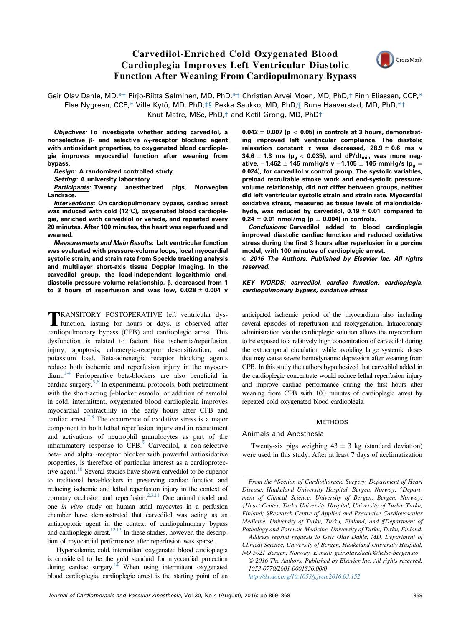# Carvedilol-Enriched Cold Oxygenated Blood Cardioplegia Improves Left Ventricular Diastolic Function After Weaning From Cardiopulmonary Bypass



Geir Olav Dahle, MD,\*† Pirjo-Riitta Salminen, MD, PhD,\*† Christian Arvei Moen, MD, PhD,† Finn Eliassen, CCP,\* Else Nygreen, CCP,\* Ville Kytö, MD, PhD,‡§ Pekka Saukko, MD, PhD,¶ Rune Haaverstad, MD, PhD,\*† Knut Matre, MSc, PhD,† and Ketil Grong, MD, PhD†

Objectives: To investigate whether adding carvedilol, a nonselective β- and selective  $α_1$ -receptor blocking agent with antioxidant properties, to oxygenated blood cardioplegia improves myocardial function after weaning from bypass.

Design: A randomized controlled study.

Setting: A university laboratory.

**Participants: Twenty anesthetized pigs, Norwegian** Landrace.

Interventions: On cardiopulmonary bypass, cardiac arrest was induced with cold  $(12^{\circ}C)$ , oxygenated blood cardioplegia, enriched with carvedilol or vehicle, and repeated every 20 minutes. After 100 minutes, the heart was reperfused and weaned.

Measurements and Main Results: Left ventricular function was evaluated with pressure-volume loops, local myocardial systolic strain, and strain rate from Speckle tracking analysis and multilayer short-axis tissue Doppler Imaging. In the carvedilol group, the load-independent logarithmic enddiastolic pressure volume relationship, β, decreased from 1 to 3 hours of reperfusion and was low,  $0.028 \pm 0.004$  v

**TRANSITORY POSTOPERATIVE left ventricular dys-**<br>function, lasting for hours or days, is observed after cardiopulmonary bypass (CPB) and cardioplegic arrest. This dysfunction is related to factors like ischemia/reperfusion injury, apoptosis, adrenergic-receptor desensitization, and potassium load. Beta-adrenergic receptor blocking agents reduce both ischemic and reperfusion injury in the myocardium.[1-4](#page-9-0) Perioperative beta-blockers are also beneficial in cardiac surgery. $5,6$  In experimental protocols, both pretreatment with the short-acting β-blocker esmolol or addition of esmolol in cold, intermittent, oxygenated blood cardioplegia improves myocardial contractility in the early hours after CPB and cardiac arrest.<sup>[7,8](#page-9-0)</sup> The occurrence of oxidative stress is a major component in both lethal reperfusion injury and in recruitment and activations of neutrophil granulocytes as part of the inflammatory response to  $CPB$ <sup>[9](#page-9-0)</sup> Carvedilol, a non-selective beta- and alpha<sub>1</sub>-receptor blocker with powerful antioxidative properties, is therefore of particular interest as a cardioprotec-tive agent.<sup>[10](#page-9-0)</sup> Several studies have shown carvedilol to be superior to traditional beta-blockers in preserving cardiac function and reducing ischemic and lethal reperfusion injury in the context of coronary occlusion and reperfusion.<sup>2,[3,11](#page-9-0)</sup> One animal model and one in vitro study on human atrial myocytes in a perfusion chamber have demonstrated that carvedilol was acting as an antiapoptotic agent in the context of cardiopulmonary bypass and cardioplegic arrest.<sup>12,13</sup> In these studies, however, the description of myocardial performance after reperfusion was sparse.

Hyperkalemic, cold, intermittent oxygenated blood cardioplegia is considered to be the gold standard for myocardial protection during cardiac surgery. $14$  When using intermittent oxygenated blood cardioplegia, cardioplegic arrest is the starting point of an  $0.042 \pm 0.007$  (p  $< 0.05$ ) in controls at 3 hours, demonstrating improved left ventricular compliance. The diastolic relaxation constant τ was decreased,  $28.9 \pm 0.6$  ms v 34.6  $\pm$  1.3 ms ( $p_g$  < 0.035), and dP/dt<sub>min</sub> was more negative,  $-1,462 \pm 145$  mmHg/s v  $-1,105 \pm 105$  mmHg/s (p<sub>a</sub> = 0.024), for carvedilol v control group. The systolic variables, preload recruitable stroke work and end-systolic pressurevolume relationship, did not differ between groups, neither did left ventricular systolic strain and strain rate. Myocardial oxidative stress, measured as tissue levels of malondialdehyde, was reduced by carvedilol,  $0.19 \pm 0.01$  compared to  $0.24 \pm 0.01$  nmol/mg (p = 0.004) in controls.

Conclusions: Carvedilol added to blood cardioplegia improved diastolic cardiac function and reduced oxidative stress during the first 3 hours after reperfusion in a porcine model, with 100 minutes of cardioplegic arrest.

 $\odot$  2016 The Authors. Published by Elsevier Inc. All rights reserved.

KEY WORDS: carvedilol, cardiac function, cardioplegia, cardiopulmonary bypass, oxidative stress

anticipated ischemic period of the myocardium also including several episodes of reperfusion and reoxygenation. Intracoronary administration via the cardioplegic solution allows the myocardium to be exposed to a relatively high concentration of carvedilol during the extracorporal circulation while avoiding large systemic doses that may cause severe hemodynamic depression after weaning from CPB. In this study the authors hypothesized that carvedilol added in the cardioplegic concentrate would reduce lethal reperfusion injury and improve cardiac performance during the first hours after weaning from CPB with 100 minutes of cardioplegic arrest by repeated cold oxygenated blood cardioplegia.

# METHODS

#### Animals and Anesthesia

Twenty-six pigs weighing  $43 \pm 3$  kg (standard deviation) were used in this study. After at least 7 days of acclimatization

From the \*Section of Cardiothoracic Surgery, Department of Heart Disease, Haukeland University Hospital, Bergen, Norway; †Department of Clinical Science, University of Bergen, Bergen, Norway; ‡Heart Center, Turku University Hospital, University of Turku, Turku, Finland; §Research Centre of Applied and Preventive Cardiovascular Medicine, University of Turku, Turku, Finland; and ¶Department of Pathology and Forensic Medicine, University of Turku, Turku, Finland.

Address reprint requests to Geir Olav Dahle, MD, Department of Clinical Science, University of Bergen, Haukeland University Hospital, NO-5021 Bergen, Norway. E-mail: [geir.olav.dahle@helse-bergen.no](mailto:geir.olav.dahle@helse-bergen.no)

<sup>©</sup> [2016 The Authors. Published by Elsevier Inc. All rights reserved.](mailto:geir.olav.dahle@helse-bergen.no) [1053-0770/2601-0001\\$36.00/0](mailto:geir.olav.dahle@helse-bergen.no)

[htt](http://dx.doi.org/10.1053/j.jvca.2016.03.152)[p://dx.doi.org/10.1053/j.jvca.2016.03.152](mailto:geir.olav.dahle@helse-bergen.no)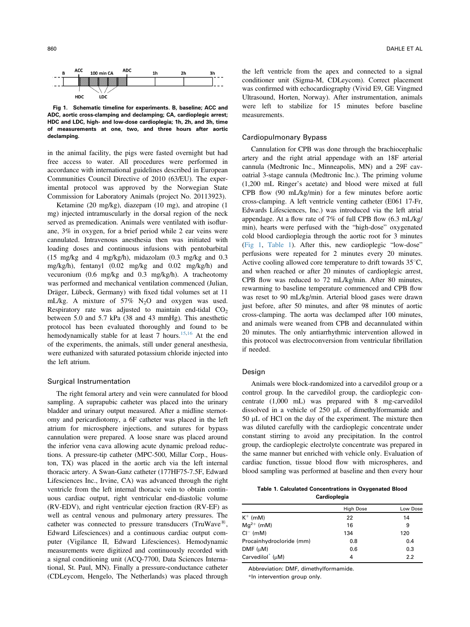<span id="page-1-0"></span>

Fig 1. Schematic timeline for experiments. B, baseline; ACC and ADC, aortic cross-clamping and declamping; CA, cardioplegic arrest; HDC and LDC, high- and low-dose cardioplegia; 1h, 2h, and 3h, time of measurements at one, two, and three hours after aortic declamping.

in the animal facility, the pigs were fasted overnight but had free access to water. All procedures were performed in accordance with international guidelines described in European Communities Council Directive of 2010 (63/EU). The experimental protocol was approved by the Norwegian State Commission for Laboratory Animals (project No. 20113923).

Ketamine (20 mg/kg), diazepam (10 mg), and atropine (1 mg) injected intramuscularly in the dorsal region of the neck served as premedication. Animals were ventilated with isoflurane, 3% in oxygen, for a brief period while 2 ear veins were cannulated. Intravenous anesthesia then was initiated with loading doses and continuous infusions with pentobarbital (15 mg/kg and 4 mg/kg/h), midazolam (0.3 mg/kg and 0.3 mg/kg/h), fentanyl (0.02 mg/kg and 0.02 mg/kg/h) and vecuronium (0.6 mg/kg and 0.3 mg/kg/h). A tracheotomy was performed and mechanical ventilation commenced (Julian, Dräger, Lübeck, Germany) with fixed tidal volumes set at 11 mL/kg. A mixture of  $57\%$  N<sub>2</sub>O and oxygen was used. Respiratory rate was adjusted to maintain end-tidal  $CO<sub>2</sub>$ between 5.0 and 5.7 kPa (38 and 43 mmHg). This anesthetic protocol has been evaluated thoroughly and found to be hemodynamically stable for at least 7 hours.<sup>15,16</sup> At the end of the experiments, the animals, still under general anesthesia, were euthanized with saturated potassium chloride injected into the left atrium.

# Surgical Instrumentation

The right femoral artery and vein were cannulated for blood sampling. A suprapubic catheter was placed into the urinary bladder and urinary output measured. After a midline sternotomy and pericardiotomy, a 6F catheter was placed in the left atrium for microsphere injections, and sutures for bypass cannulation were prepared. A loose snare was placed around the inferior vena cava allowing acute dynamic preload reductions. A pressure-tip catheter (MPC-500, Millar Corp., Houston, TX) was placed in the aortic arch via the left internal thoracic artery. A Swan-Ganz catheter (177HF75-7.5F, Edward Lifesciences Inc., Irvine, CA) was advanced through the right ventricle from the left internal thoracic vein to obtain continuous cardiac output, right ventricular end-diastolic volume (RV-EDV), and right ventricular ejection fraction (RV-EF) as well as central venous and pulmonary artery pressures. The catheter was connected to pressure transducers (TruWave<sup> $B$ )</sup>, Edward Lifesciences) and a continuous cardiac output computer (Vigilance II, Edward Lifesciences). Hemodynamic measurements were digitized and continuously recorded with a signal conditioning unit (ACQ-7700, Data Sciences International, St. Paul, MN). Finally a pressure-conductance catheter (CDLeycom, Hengelo, The Netherlands) was placed through

the left ventricle from the apex and connected to a signal conditioner unit (Sigma-M, CDLeycom). Correct placement was confirmed with echocardiography (Vivid E9, GE Vingmed Ultrasound, Horten, Norway). After instrumentation, animals were left to stabilize for 15 minutes before baseline measurements.

## Cardiopulmonary Bypass

Cannulation for CPB was done through the brachiocephalic artery and the right atrial appendage with an 18F arterial cannula (Medtronic Inc., Minneapolis, MN) and a 29F cavoatrial 3-stage cannula (Medtronic Inc.). The priming volume (1,200 mL Ringer's acetate) and blood were mixed at full CPB flow (90 mL/kg/min) for a few minutes before aortic cross-clamping. A left ventricle venting catheter (E061 17-Fr, Edwards Lifesciences, Inc.) was introduced via the left atrial appendage. At a flow rate of 7% of full CPB flow (6.3 mL/kg/ min), hearts were perfused with the "high-dose" oxygenated cold blood cardioplegia through the aortic root for 3 minutes (Fig 1, Table 1). After this, new cardioplegic "low-dose" perfusions were repeated for 2 minutes every 20 minutes. Active cooling allowed core temperature to drift towards  $35^{\circ}$ C, and when reached or after 20 minutes of cardioplegic arrest, CPB flow was reduced to 72 mL/kg/min. After 80 minutes, rewarming to baseline temperature commenced and CPB flow was reset to 90 mL/kg/min. Arterial blood gases were drawn just before, after 50 minutes, and after 98 minutes of aortic cross-clamping. The aorta was declamped after 100 minutes, and animals were weaned from CPB and decannulated within 20 minutes. The only antiarrhythmic intervention allowed in this protocol was electroconversion from ventricular fibrillation if needed.

#### Design

Animals were block-randomized into a carvedilol group or a control group. In the carvedilol group, the cardioplegic concentrate (1,000 mL) was prepared with 8 mg-carvedilol dissolved in a vehicle of 250 µL of dimethylformamide and 50 µL of HCl on the day of the experiment. The mixture then was diluted carefully with the cardioplegic concentrate under constant stirring to avoid any precipitation. In the control group, the cardioplegic electrolyte concentrate was prepared in the same manner but enriched with vehicle only. Evaluation of cardiac function, tissue blood flow with microspheres, and blood sampling was performed at baseline and then every hour

Table 1. Calculated Concentrations in Oxygenated Blood Cardioplegia

| <b>High Dose</b> | Low Dose |
|------------------|----------|
| 22               | 14       |
| 16               | 9        |
| 134              | 120      |
| 0.8              | 0.4      |
| 0.6              | 0.3      |
| 4                | 2.2      |
|                  |          |

Abbreviation: DMF, dimethylformamide.

\*In intervention group only.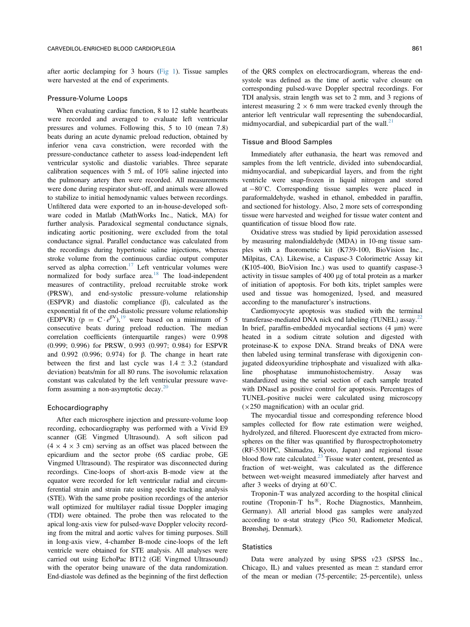after aortic declamping for 3 hours [\(Fig 1](#page-1-0)). Tissue samples were harvested at the end of experiments.

## Pressure-Volume Loops

When evaluating cardiac function, 8 to 12 stable heartbeats were recorded and averaged to evaluate left ventricular pressures and volumes. Following this, 5 to 10 (mean 7.8) beats during an acute dynamic preload reduction, obtained by inferior vena cava constriction, were recorded with the pressure-conductance catheter to assess load-independent left ventricular systolic and diastolic variables. Three separate calibration sequences with 5 mL of 10% saline injected into the pulmonary artery then were recorded. All measurements were done during respirator shut-off, and animals were allowed to stabilize to initial hemodynamic values between recordings. Unfiltered data were exported to an in-house-developed software coded in Matlab (MathWorks Inc., Natick, MA) for further analysis. Paradoxical segmental conductance signals, indicating aortic positioning, were excluded from the total conductance signal. Parallel conductance was calculated from the recordings during hypertonic saline injections, whereas stroke volume from the continuous cardiac output computer served as alpha correction.<sup>[17](#page-9-0)</sup> Left ventricular volumes were normalized for body surface area.<sup>[18](#page-9-0)</sup> The load-independent measures of contractility, preload recruitable stroke work (PRSW), and end-systolic pressure-volume relationship (ESPVR) and diastolic compliance (β), calculated as the exponential fit of the end-diastolic pressure volume relationship (EDPVR) (p =  $C \cdot e^{\beta V}$ ),<sup>19</sup> were based on a minimum of 5 consecutive beats during preload reduction. The median correlation coefficients (interquartile ranges) were 0.998 (0.999; 0.996) for PRSW, 0.993 (0.997; 0.984) for ESPVR and 0.992 (0.996; 0.974) for β. The change in heart rate between the first and last cycle was  $1.4 \pm 3.2$  (standard deviation) beats/min for all 80 runs. The isovolumic relaxation constant was calculated by the left ventricular pressure waveform assuming a non-asymptotic decay. $20$ 

## Echocardiography

After each microsphere injection and pressure-volume loop recording, echocardiography was performed with a Vivid E9 scanner (GE Vingmed Ultrasound). A soft silicon pad  $(4 \times 4 \times 3$  cm) serving as an offset was placed between the epicardium and the sector probe (6S cardiac probe, GE Vingmed Ultrasound). The respirator was disconnected during recordings. Cine-loops of short-axis B-mode view at the equator were recorded for left ventricular radial and circumferential strain and strain rate using speckle tracking analysis (STE). With the same probe position recordings of the anterior wall optimized for multilayer radial tissue Doppler imaging (TDI) were obtained. The probe then was relocated to the apical long-axis view for pulsed-wave Doppler velocity recording from the mitral and aortic valves for timing purposes. Still in long-axis view, 4-chamber B-mode cine-loops of the left ventricle were obtained for STE analysis. All analyses were carried out using EchoPac BT12 (GE Vingmed Ultrasound) with the operator being unaware of the data randomization. End-diastole was defined as the beginning of the first deflection

of the QRS complex on electrocardiogram, whereas the endsystole was defined as the time of aortic valve closure on corresponding pulsed-wave Doppler spectral recordings. For TDI analysis, strain length was set to 2 mm, and 3 regions of interest measuring  $2 \times 6$  mm were tracked evenly through the anterior left ventricular wall representing the subendocardial, midmyocardial, and subepicardial part of the wall. $^{21}$  $^{21}$  $^{21}$ 

#### Tissue and Blood Samples

Immediately after euthanasia, the heart was removed and samples from the left ventricle, divided into subendocardial, midmyocardial, and subepicardial layers, and from the right ventricle were snap-frozen in liquid nitrogen and stored at  $-80^{\circ}$ C. Corresponding tissue samples were placed in paraformaldehyde, washed in ethanol, embedded in paraffin, and sectioned for histology. Also, 2 more sets of corresponding tissue were harvested and weighed for tissue water content and quantification of tissue blood flow rate.

Oxidative stress was studied by lipid peroxidation assessed by measuring malondialdehyde (MDA) in 10-mg tissue samples with a fluorometric kit (K739-100, BioVision Inc., Milpitas, CA). Likewise, a Caspase-3 Colorimetric Assay kit (K105-400, BioVision Inc.) was used to quantify caspase-3 activity in tissue samples of 400 mg of total protein as a marker of initiation of apoptosis. For both kits, triplet samples were used and tissue was homogenized, lysed, and measured according to the manufacturer's instructions.

Cardiomyocyte apoptosis was studied with the terminal transferase-mediated DNA nick end labeling (TUNEL) assay.<sup>22</sup> In brief, paraffin-embedded myocardial sections (4 um) were heated in a sodium citrate solution and digested with proteinase-K to expose DNA. Strand breaks of DNA were then labeled using terminal transferase with digoxigenin conjugated dideoxyuridine triphosphate and visualized with alkaline phosphatase immunohistochemistry. Assay was standardized using the serial section of each sample treated with DNaseI as positive control for apoptosis. Percentages of TUNEL-positive nuclei were calculated using microscopy  $(\times 250$  magnification) with an ocular grid.

The myocardial tissue and corresponding reference blood samples collected for flow rate estimation were weighed, hydrolyzed, and filtered. Fluorescent dye extracted from microspheres on the filter was quantified by flurospectrophotometry (RF-5301PC, Shimadzu, Kyoto, Japan) and regional tissue blood flow rate calculated.<sup>[23](#page-9-0)</sup> Tissue water content, presented as fraction of wet-weight, was calculated as the difference between wet-weight measured immediately after harvest and after 3 weeks of drying at  $60^{\circ}$ C.

Troponin-T was analyzed according to the hospital clinical routine (Troponin-T hs®, Roche Diagnostics, Mannheim, Germany). All arterial blood gas samples were analyzed according to  $\alpha$ -stat strategy (Pico 50, Radiometer Medical, Brønshøj, Denmark).

#### **Statistics**

Data were analyzed by using SPSS v23 (SPSS Inc., Chicago, IL) and values presented as mean  $\pm$  standard error of the mean or median (75-percentile; 25-percentile), unless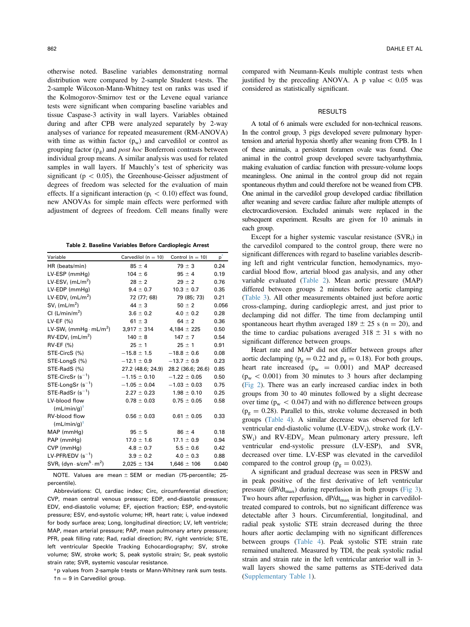<span id="page-3-0"></span>otherwise noted. Baseline variables demonstrating normal distribution were compared by 2-sample Student t-tests. The 2-sample Wilcoxon-Mann-Whitney test on ranks was used if the Kolmogorov-Smirnov test or the Levene equal variance tests were significant when comparing baseline variables and tissue Caspase-3 activity in wall layers. Variables obtained during and after CPB were analyzed separately by 2-way analyses of variance for repeated measurement (RM-ANOVA) with time as within factor  $(p_w)$  and carvedilol or control as grouping factor  $(p_g)$  and *post hoc* Bonferroni contrasts between individual group means. A similar analysis was used for related samples in wall layers. If Mauchly's test of sphericity was significant ( $p < 0.05$ ), the Greenhouse-Geisser adjustment of degrees of freedom was selected for the evaluation of main effects. If a significant interaction ( $p_i < 0.10$ ) effect was found, new ANOVAs for simple main effects were performed with adjustment of degrees of freedom. Cell means finally were

Table 2. Baseline Variables Before Cardioplegic Arrest

| Variable                                                        | Carvedilol ( $n = 10$ ) | Control ( $n = 10$ ) | $\mathsf{p}^*$ |
|-----------------------------------------------------------------|-------------------------|----------------------|----------------|
| HR (beats/min)                                                  | $85 \pm 4$              | $79 \pm 3$           | 0.24           |
| LV-ESP (mmHg)                                                   | $104 \pm 6$             | $95 \pm 4$           | 0.19           |
| LV-ESV <sub>i</sub> (mL/m <sup>2</sup> )                        | $28 \pm 2$              | $29 \pm 2$           | 0.76           |
| LV-EDP (mmHg)                                                   | $9.4 \pm 0.7$           | $10.3 \pm 0.7$       | 0.35           |
| LV-EDV <sub>i</sub> (mL/m <sup>2</sup> )                        | 72 (77; 68)             | 79 (85; 73)          | 0.21           |
| $SVi$ (mL/m <sup>2</sup> )                                      | $44 \pm 3$              | $50 \pm 2$           | 0.056          |
| CI $(L/min/m2)$                                                 | $3.6 \pm 0.2$           | $4.0 \pm 0.2$        | 0.28           |
| LV-EF (%)                                                       | $61 \pm 3$              | $64 \pm 2$           | 0.36           |
| $LV-SW_i$ (mmHg $\cdot$ mL/m <sup>2</sup> )                     | $3,917 \pm 314$         | $4.184 \pm 225$      | 0.50           |
| $RV$ -EDV <sub>i</sub> (mL/m <sup>2</sup> )                     | $140 \pm 8$             | $147 \pm 7$          | 0.54           |
| $RV-EF$ (%)                                                     | $25 \pm 1$              | $25 \pm 1$           | 0.91           |
| STE-CircS (%)                                                   | $-15.8 \pm 1.5$         | $-18.8 \pm 0.6$      | 0.08           |
| STE-LongS (%)                                                   | $-12.1 \pm 0.9$         | $-13.7 \pm 0.9$      | 0.23           |
| STE-RadS (%)                                                    | 27.2 (48.6; 24.9)       | 28.2 (36.6; 26.6)    | 0.85           |
| $STE-CircSr (s-1)$                                              | $-1.15 \pm 0.10$        | $-1.22 \pm 0.05$     | 0.50           |
| $STE$ -LongSr (s <sup>-1</sup> )                                | $-1.05 \pm 0.04$        | $-1.03 \pm 0.03$     | 0.75           |
| $STE$ -RadSr $(s^{-1})$                                         | $2.27 \pm 0.23$         | $1.98 \pm 0.10$      | 0.25           |
| LV-blood flow                                                   | $0.78 \pm 0.03$         | $0.75 \pm 0.05$      | 0.58           |
| $(mL/min/q)^{\dagger}$                                          |                         |                      |                |
| RV-blood flow                                                   | $0.56 \pm 0.03$         | $0.61 \pm 0.05$      | 0.33           |
| $(mL/min/q)^{\dagger}$                                          |                         |                      |                |
| MAP (mmHg)                                                      | $95 \pm 5$              | $86 \pm 4$           | 0.18           |
| PAP (mmHg)                                                      | $17.0 \pm 1.6$          | $17.1 \pm 0.9$       | 0.94           |
| CVP (mmHg)                                                      | $4.8 \pm 0.7$           | $5.5 \pm 0.6$        | 0.42           |
| LV-PFR/EDV $(s^{-1})$                                           | $3.9 \pm 0.2$           | $4.0 \pm 0.3$        | 0.88           |
| $SVR_i$ (dyn $\cdot$ s/cm <sup>5</sup> $\cdot$ m <sup>2</sup> ) | $2,025 \pm 134$         | $1,646 \pm 106$      | 0.040          |

NOTE. Values are mean  $\pm$  SEM or median (75-percentile; 25percentile).

Abbreviations: CI, cardiac index; Circ, circumferential direction; CVP, mean central venous pressure; EDP, end-diastolic pressure; EDV, end-diastolic volume; EF, ejection fraction; ESP, end-systolic pressure; ESV, end-systolic volume; HR, heart rate; i, value indexed for body surface area; Long, longitudinal direction; LV, left ventricle; MAP, mean arterial pressure; PAP, mean pulmonary artery pressure; PFR, peak filling rate; Rad, radial direction; RV, right ventricle; STE, left ventricular Speckle Tracking Echocardiography; SV, stroke volume; SW, stroke work; S, peak systolic strain; Sr, peak systolic strain rate; SVR, systemic vascular resistance.

\*p values from 2-sample t-tests or Mann-Whitney rank sum tests.  $tn = 9$  in Carvedilol group.

compared with Neumann-Keuls multiple contrast tests when justified by the preceding ANOVA. A p value  $< 0.05$  was considered as statistically significant.

## **RESULTS**

A total of 6 animals were excluded for non-technical reasons. In the control group, 3 pigs developed severe pulmonary hypertension and arterial hypoxia shortly after weaning from CPB. In 1 of these animals, a persistent foramen ovale was found. One animal in the control group developed severe tachyarrhythmia, making evaluation of cardiac function with pressure-volume loops meaningless. One animal in the control group did not regain spontaneous rhythm and could therefore not be weaned from CPB. One animal in the carvedilol group developed cardiac fibrillation after weaning and severe cardiac failure after multiple attempts of electrocardioversion. Excluded animals were replaced in the subsequent experiment. Results are given for 10 animals in each group.

Except for a higher systemic vascular resistance  $(SVR_i)$  in the carvedilol compared to the control group, there were no significant differences with regard to baseline variables describing left and right ventricular function, hemodynamics, myocardial blood flow, arterial blood gas analysis, and any other variable evaluated (Table 2). Mean aortic pressure (MAP) differed between groups 2 minutes before aortic clamping ([Table 3](#page-4-0)). All other measurements obtained just before aortic cross-clamping, during cardioplegic arrest, and just prior to declamping did not differ. The time from declamping until spontaneous heart rhythm averaged  $189 \pm 25$  s (n = 20), and the time to cardiac pulsations averaged  $318 \pm 31$  s with no significant difference between groups.

Heart rate and MAP did not differ between groups after aortic declamping ( $p_g = 0.22$  and  $p_g = 0.18$ ). For both groups, heart rate increased ( $p_w = 0.001$ ) and MAP decreased  $(p_w < 0.001)$  from 30 minutes to 3 hours after declamping ([Fig 2](#page-5-0)). There was an early increased cardiac index in both groups from 30 to 40 minutes followed by a slight decrease over time ( $p_w < 0.047$ ) and with no difference between groups  $(p_g = 0.28)$ . Parallel to this, stroke volume decreased in both groups ([Table 4](#page-6-0)). A similar decrease was observed for left ventricular end-diastolic volume (LV-EDV<sub>i</sub>), stroke work (LV-SW<sub>i</sub>) and RV-EDV<sub>i</sub>. Mean pulmonary artery pressure, left ventricular end-systolic pressure (LV-ESP), and SVRi decreased over time. LV-ESP was elevated in the carvedilol compared to the control group ( $p_g = 0.023$ ).

A significant and gradual decrease was seen in PRSW and in peak positive of the first derivative of left ventricular pressure (dP/dt<sub>max</sub>) during reperfusion in both groups [\(Fig 3\)](#page-7-0). Two hours after reperfusion,  $dP/dt_{max}$  was higher in carvediloltreated compared to controls, but no significant difference was detectable after 3 hours. Circumferential, longitudinal, and radial peak systolic STE strain decreased during the three hours after aortic declamping with no significant differences between groups ([Table 4\)](#page-6-0). Peak systolic STE strain rate remained unaltered. Measured by TDI, the peak systolic radial strain and strain rate in the left ventricular anterior wall in 3 wall layers showed the same patterns as STE-derived data ([Supplementary Table 1\)](#page-9-0).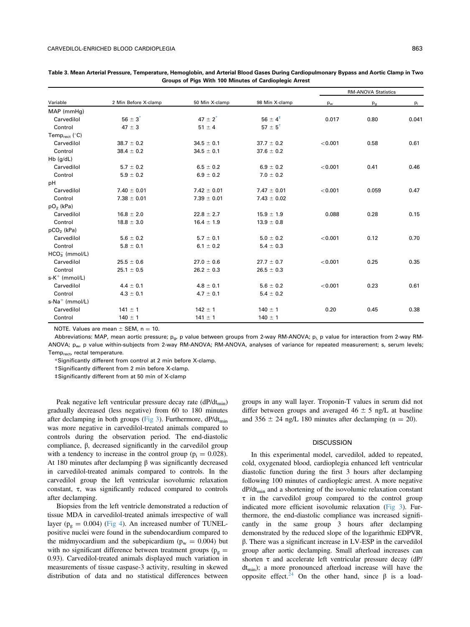| Variable                              |                      | 50 Min X-clamp  | 98 Min X-clamp        | <b>RM-ANOVA Statistics</b> |         |       |
|---------------------------------------|----------------------|-----------------|-----------------------|----------------------------|---------|-------|
|                                       | 2 Min Before X-clamp |                 |                       | $p_w$                      | $p_{g}$ | $p_i$ |
| MAP (mmHg)                            |                      |                 |                       |                            |         |       |
| Carvedilol                            | $56 \pm 3^{*}$       | $47 \pm 2^{*}$  | $56 \pm 4^{\ddagger}$ | 0.017                      | 0.80    | 0.041 |
| Control                               | $47 \pm 3$           | $51 \pm 4$      | $57 \pm 5^{\dagger}$  |                            |         |       |
| Temp $_{\text{rect}}$ ( $^{\circ}$ C) |                      |                 |                       |                            |         |       |
| Carvedilol                            | $38.7 \pm 0.2$       | $34.5 \pm 0.1$  | $37.7 \pm 0.2$        | < 0.001                    | 0.58    | 0.61  |
| Control                               | $38.4 \pm 0.2$       | $34.5 \pm 0.1$  | $37.6 \pm 0.2$        |                            |         |       |
| $Hb$ (g/dL)                           |                      |                 |                       |                            |         |       |
| Carvedilol                            | $5.7 \pm 0.2$        | $6.5 \pm 0.2$   | $6.9 \pm 0.2$         | < 0.001                    | 0.41    | 0.46  |
| Control                               | $5.9 \pm 0.2$        | $6.9 \pm 0.2$   | $7.0 \pm 0.2$         |                            |         |       |
| рH                                    |                      |                 |                       |                            |         |       |
| Carvedilol                            | $7.40 \pm 0.01$      | $7.42 \pm 0.01$ | $7.47 \pm 0.01$       | < 0.001                    | 0.059   | 0.47  |
| Control                               | $7.38 \pm 0.01$      | $7.39 \pm 0.01$ | $7.43 \pm 0.02$       |                            |         |       |
| $pO2$ (kPa)                           |                      |                 |                       |                            |         |       |
| Carvedilol                            | $16.8 \pm 2.0$       | $22.8 \pm 2.7$  | $15.9 \pm 1.9$        | 0.088                      | 0.28    | 0.15  |
| Control                               | $18.8 \pm 3.0$       | $16.4 \pm 1.9$  | $13.9 \pm 0.8$        |                            |         |       |
| $pCO2$ (kPa)                          |                      |                 |                       |                            |         |       |
| Carvedilol                            | $5.6 \pm 0.2$        | $5.7 \pm 0.1$   | $5.0 \pm 0.2$         | < 0.001                    | 0.12    | 0.70  |
| Control                               | $5.8 \pm 0.1$        | $6.1 \pm 0.2$   | $5.4 \pm 0.3$         |                            |         |       |
| $HCO3-$ (mmol/L)                      |                      |                 |                       |                            |         |       |
| Carvedilol                            | $25.5 \pm 0.6$       | $27.0 \pm 0.6$  | $27.7 \pm 0.7$        | < 0.001                    | 0.25    | 0.35  |
| Control                               | $25.1 \pm 0.5$       | $26.2 \pm 0.3$  | $26.5 \pm 0.3$        |                            |         |       |
| $s-K^+$ (mmol/L)                      |                      |                 |                       |                            |         |       |
| Carvedilol                            | $4.4 \pm 0.1$        | $4.8 \pm 0.1$   | $5.6 \pm 0.2$         | < 0.001                    | 0.23    | 0.61  |
| Control                               | $4.3 \pm 0.1$        | $4.7 \pm 0.1$   | $5.4 \pm 0.2$         |                            |         |       |
| $s-Na^+$ (mmol/L)                     |                      |                 |                       |                            |         |       |
| Carvedilol                            | $141 \pm 1$          | $142 \pm 1$     | $140 \pm 1$           | 0.20                       | 0.45    | 0.38  |
| Control                               | $140 \pm 1$          | $141 \pm 1$     | $140 \pm 1$           |                            |         |       |

<span id="page-4-0"></span>Table 3. Mean Arterial Pressure, Temperature, Hemoglobin, and Arterial Blood Gases During Cardiopulmonary Bypass and Aortic Clamp in Two Groups of Pigs With 100 Minutes of Cardioplegic Arrest

NOTE. Values are mean  $\pm$  SEM, n = 10.

Abbreviations: MAP, mean aortic pressure;  $p_a$ , p value between groups from 2-way RM-ANOVA;  $p_i$  p value for interaction from 2-way RM-ANOVA; p<sub>w</sub>, p value within-subjects from 2-way RM-ANOVA; RM-ANOVA, analyses of variance for repeated measurement; s, serum levels; Temp<sub>rect</sub>, rectal temperature.

\*Significantly different from control at 2 min before X-clamp.

†Significantly different from 2 min before X-clamp.

‡Significantly different from at 50 min of X-clamp

Peak negative left ventricular pressure decay rate (dP/dt<sub>min</sub>) gradually decreased (less negative) from 60 to 180 minutes after declamping in both groups [\(Fig 3](#page-7-0)). Furthermore,  $dP/dt_{min}$ was more negative in carvedilol-treated animals compared to controls during the observation period. The end-diastolic compliance, β, decreased significantly in the carvedilol group with a tendency to increase in the control group ( $p_i = 0.028$ ). At 180 minutes after declamping  $β$  was significantly decreased in carvedilol-treated animals compared to controls. In the carvedilol group the left ventricular isovolumic relaxation constant,  $\tau$ , was significantly reduced compared to controls after declamping.

Biopsies from the left ventricle demonstrated a reduction of tissue MDA in carvedilol-treated animals irrespective of wall layer ( $p_g = 0.004$ ) ([Fig 4\)](#page-8-0). An increased number of TUNELpositive nuclei were found in the subendocardium compared to the midmyocardium and the subepicardium ( $p_w = 0.004$ ) but with no significant difference between treatment groups ( $p_g$  = 0.93). Carvedilol-treated animals displayed much variation in measurements of tissue caspase-3 activity, resulting in skewed distribution of data and no statistical differences between

groups in any wall layer. Troponin-T values in serum did not differ between groups and averaged  $46 \pm 5$  ng/L at baseline and 356  $\pm$  24 ng/L 180 minutes after declamping (n = 20).

## **DISCUSSION**

In this experimental model, carvedilol, added to repeated, cold, oxygenated blood, cardioplegia enhanced left ventricular diastolic function during the first 3 hours after declamping following 100 minutes of cardioplegic arrest. A more negative  $dP/dt_{\min}$  and a shortening of the isovolumic relaxation constant  $\tau$  in the carvedilol group compared to the control group indicated more efficient isovolumic relaxation ([Fig 3\)](#page-7-0). Furthermore, the end-diastolic compliance was increased significantly in the same group 3 hours after declamping demonstrated by the reduced slope of the logarithmic EDPVR, β. There was a significant increase in LV-ESP in the carvedilol group after aortic declamping. Small afterload increases can shorten  $\tau$  and accelerate left ventricular pressure decay (dP/ dtmin); a more pronounced afterload increase will have the opposite effect.<sup>[24](#page-9-0)</sup> On the other hand, since  $β$  is a load-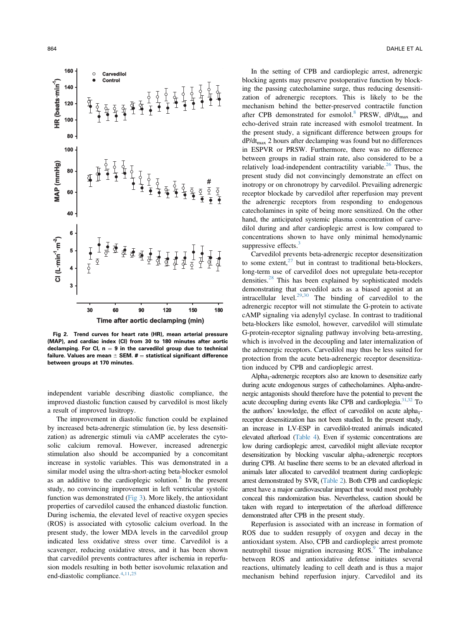<span id="page-5-0"></span>

Fig 2. Trend curves for heart rate (HR), mean arterial pressure (MAP), and cardiac index (CI) from 30 to 180 minutes after aortic declamping. For Cl,  $n = 9$  in the carvedilol group due to technical failure. Values are mean  $\pm$  SEM.  $\sharp$  = statistical significant difference between groups at 170 minutes.

independent variable describing diastolic compliance, the improved diastolic function caused by carvedilol is most likely a result of improved lusitropy.

The improvement in diastolic function could be explained by increased beta-adrenergic stimulation (ie, by less desensitization) as adrenergic stimuli via cAMP accelerates the cytosolic calcium removal. However, increased adrenergic stimulation also should be accompanied by a concomitant increase in systolic variables. This was demonstrated in a similar model using the ultra-short-acting beta-blocker esmolol as an additive to the cardioplegic solution. $8$  In the present study, no convincing improvement in left ventricular systolic function was demonstrated ([Fig 3](#page-7-0)). More likely, the antioxidant properties of carvedilol caused the enhanced diastolic function. During ischemia, the elevated level of reactive oxygen species (ROS) is associated with cytosolic calcium overload. In the present study, the lower MDA levels in the carvedilol group indicated less oxidative stress over time. Carvedilol is a scavenger, reducing oxidative stress, and it has been shown that carvedilol prevents contractures after ischemia in reperfusion models resulting in both better isovolumic relaxation and end-diastolic compliance.<sup>[4,11](#page-9-0),[25](#page-9-0)</sup>

In the setting of CPB and cardioplegic arrest, adrenergic blocking agents may preserve postoperative function by blocking the passing catecholamine surge, thus reducing desensitization of adrenergic receptors. This is likely to be the mechanism behind the better-preserved contractile function after CPB demonstrated for esmolol.<sup>[8](#page-9-0)</sup> PRSW,  $dP/dt_{max}$  and echo-derived strain rate increased with esmolol treatment. In the present study, a significant difference between groups for  $dP/dt_{\text{max}}$  2 hours after declamping was found but no differences in ESPVR or PRSW. Furthermore, there was no difference between groups in radial strain rate, also considered to be a relatively load-independent contractility variable.<sup>[26](#page-9-0)</sup> Thus, the present study did not convincingly demonstrate an effect on inotropy or on chronotropy by carvedilol. Prevailing adrenergic receptor blockade by carvedilol after reperfusion may prevent the adrenergic receptors from responding to endogenous catecholamines in spite of being more sensitized. On the other hand, the anticipated systemic plasma concentration of carvedilol during and after cardioplegic arrest is low compared to concentrations shown to have only minimal hemodynamic suppressive effects. $3$ 

Carvedilol prevents beta-adrenergic receptor desensitization to some extent, $27$  but in contrast to traditional beta-blockers, long-term use of carvedilol does not upregulate beta-receptor densities[.28](#page-9-0) This has been explained by sophisticated models demonstrating that carvedilol acts as a biased agonist at an intracellular level. $29,30$  The binding of carvedilol to the adrenergic receptor will not stimulate the G-protein to activate cAMP signaling via adenylyl cyclase. In contrast to traditional beta-blockers like esmolol, however, carvedilol will stimulate G-protein-receptor signaling pathway involving beta-arresting, which is involved in the decoupling and later internalization of the adrenergic receptors. Carvedilol may thus be less suited for protection from the acute beta-adrenergic receptor desensitization induced by CPB and cardioplegic arrest.

Alpha<sub>1</sub>-adrenergic receptors also are known to desensitize early during acute endogenous surges of cathecholamines. Alpha-andrenergic antagonists should therefore have the potential to prevent the acute decoupling during events like CPB and cardioplegia.<sup>31,32</sup> To the authors' knowledge, the effect of carvedilol on acute  $alpha_{1}$ receptor desensitization has not been studied. In the present study, an increase in LV-ESP in carvedilol-treated animals indicated elevated afterload [\(Table 4](#page-6-0)). Even if systemic concentrations are low during cardioplegic arrest, carvedilol might alleviate receptor desensitization by blocking vascular alpha<sub>1</sub>-adrenergic receptors during CPB. At baseline there seems to be an elevated afterload in animals later allocated to carvedilol treatment during cardioplegic arrest demonstrated by SVRi [\(Table 2\)](#page-3-0). Both CPB and cardioplegic arrest have a major cardiovascular impact that would most probably conceal this randomization bias. Nevertheless, caution should be taken with regard to interpretation of the afterload difference demonstrated after CPB in the present study.

Reperfusion is associated with an increase in formation of ROS due to sudden resupply of oxygen and decay in the antioxidant system. Also, CPB and cardioplegic arrest promote neutrophil tissue migration increasing ROS.<sup>9</sup> The imbalance between ROS and antioxidative defense initiates several reactions, ultimately leading to cell death and is thus a major mechanism behind reperfusion injury. Carvedilol and its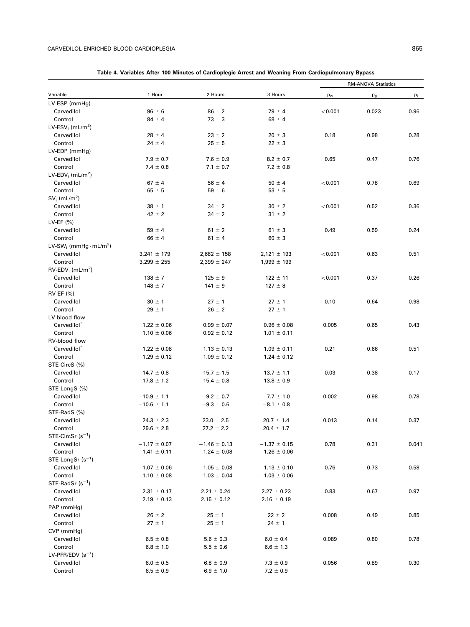<span id="page-6-0"></span>

|                                              |                  |                  |                  | <b>RM-ANOVA Statistics</b> |       |       |
|----------------------------------------------|------------------|------------------|------------------|----------------------------|-------|-------|
| Variable                                     | 1 Hour           | 2 Hours          | 3 Hours          | pw                         | $p_g$ | pi    |
| LV-ESP (mmHg)                                |                  |                  |                  |                            |       |       |
| Carvedilol                                   | $96 \pm 6$       | $86 \pm 2$       | $79 \pm 4$       | < 0.001                    | 0.023 | 0.96  |
| Control                                      | $84 \pm 4$       | $73 \pm 3$       | $68 \pm 4$       |                            |       |       |
| LV-ESV <sub>i</sub> (mL/m <sup>2</sup> )     |                  |                  |                  |                            |       |       |
| Carvedilol                                   | $28 \pm 4$       | $23 \pm 2$       | $20 \pm 3$       | 0.18                       | 0.98  | 0.28  |
| Control                                      | $24 \pm 4$       | $25 \pm 5$       | $22 \pm 3$       |                            |       |       |
| LV-EDP (mmHg)                                |                  |                  |                  |                            |       |       |
| Carvedilol                                   | $7.9 \pm 0.7$    | $7.6 \pm 0.9$    | $8.2 \pm 0.7$    | 0.65                       | 0.47  | 0.76  |
| Control                                      | $7.4 \pm 0.8$    | $7.1 \pm 0.7$    | $7.2 \pm 0.8$    |                            |       |       |
| LV-EDV <sub>i</sub> (mL/m <sup>2</sup> )     |                  |                  |                  |                            |       |       |
| Carvedilol                                   | $67 \pm 4$       | $56 \pm 4$       | $50 \pm 4$       | < 0.001                    | 0.78  | 0.69  |
| Control                                      | $65 \pm 5$       | $59 \pm 6$       | $53 \pm 5$       |                            |       |       |
| $SVi$ (mL/m <sup>2</sup> )                   |                  |                  |                  |                            |       |       |
| Carvedilol                                   | $38 \pm 1$       | $34 \pm 2$       | $30 \pm 2$       | < 0.001                    | 0.52  | 0.36  |
| Control                                      | $42 \pm 2$       | $34 \pm 2$       | $31 \pm 2$       |                            |       |       |
| LV-EF $(%)$                                  |                  |                  |                  |                            |       |       |
| Carvedilol                                   | $59 \pm 4$       | $61 \pm 2$       | $61 \pm 3$       | 0.49                       | 0.59  | 0.24  |
| Control                                      | $66 \pm 4$       | $61 \pm 4$       | $60 \pm 3$       |                            |       |       |
| LV-SW <sub>i</sub> (mmHg·mL/m <sup>2</sup> ) |                  |                  |                  |                            |       |       |
| Carvedilol                                   | $3,241 \pm 179$  | $2,682 \pm 158$  | $2,121 \pm 193$  | < 0.001                    | 0.63  | 0.51  |
| Control                                      |                  | $2,399 \pm 247$  | $1,999 \pm 199$  |                            |       |       |
| $RV$ -EDV <sub>i</sub> (mL/m <sup>2</sup> )  | $3,299 \pm 255$  |                  |                  |                            |       |       |
| Carvedilol                                   |                  |                  |                  |                            |       | 0.26  |
|                                              | $138 \pm 7$      | $125 \pm 9$      | $122 \pm 11$     | < 0.001                    | 0.37  |       |
| Control                                      | $148 \pm 7$      | $141 \pm 9$      | $127 \pm 8$      |                            |       |       |
| <b>RV-EF (%)</b>                             |                  |                  |                  |                            |       |       |
| Carvedilol                                   | $30 \pm 1$       | $27 \pm 1$       | $27 \pm 1$       | 0.10                       | 0.64  | 0.98  |
| Control                                      | $29 \pm 1$       | $26 \pm 2$       | $27 \pm 1$       |                            |       |       |
| LV-blood flow                                |                  |                  |                  |                            |       |       |
| Carvedilol <sup>*</sup>                      | $1.22 \pm 0.06$  | $0.99 \pm 0.07$  | $0.96 \pm 0.08$  | 0.005                      | 0.65  | 0.43  |
| Control                                      | $1.10 \pm 0.06$  | $0.92 \pm 0.12$  | $1.01 \pm 0.11$  |                            |       |       |
| RV-blood flow                                |                  |                  |                  |                            |       |       |
| Carvedilol <sup>*</sup>                      | $1.22 \pm 0.08$  | $1.13 \pm 0.13$  | $1.09 \pm 0.11$  | 0.21                       | 0.66  | 0.51  |
| Control                                      | $1.29 \pm 0.12$  | $1.09 \pm 0.12$  | $1.24 \pm 0.12$  |                            |       |       |
| STE-CircS (%)                                |                  |                  |                  |                            |       |       |
| Carvedilol                                   | $-14.7 \pm 0.8$  | $-15.7 \pm 1.5$  | $-13.7 \pm 1.1$  | 0.03                       | 0.38  | 0.17  |
| Control                                      | $-17.8 \pm 1.2$  | $-15.4 \pm 0.8$  | $-13.8 \pm 0.9$  |                            |       |       |
| STE-LongS (%)                                |                  |                  |                  |                            |       |       |
| Carvedilol                                   | $-10.9 \pm 1.1$  | $-9.2 \pm 0.7$   | $-7.7 \pm 1.0$   | 0.002                      | 0.98  | 0.78  |
| Control                                      | $-10.6 \pm 1.1$  | $-9.3 \pm 0.6$   | $-8.1 \pm 0.8$   |                            |       |       |
| STE-RadS (%)                                 |                  |                  |                  |                            |       |       |
| Carvedilol                                   | $24.3 \pm 2.3$   | $23.0 \pm 2.5$   | $20.7 \pm 1.4$   | 0.013                      | 0.14  | 0.37  |
| Control                                      | $29.6 \pm 2.8$   | $27.2 \pm 2.2$   | $20.4 \pm 1.7$   |                            |       |       |
| $STE\text{-}CircSr$ (s <sup>-1</sup> )       |                  |                  |                  |                            |       |       |
| Carvedilol                                   | $-1.17 \pm 0.07$ | $-1.46 \pm 0.13$ | $-1.37 \pm 0.15$ | 0.78                       | 0.31  | 0.041 |
| Control                                      | $-1.41 \pm 0.11$ | $-1.24 \pm 0.08$ | $-1.26 \pm 0.06$ |                            |       |       |
| STE-LongSr $(s^{-1})$                        |                  |                  |                  |                            |       |       |
| Carvedilol                                   | $-1.07 \pm 0.06$ | $-1.05 \pm 0.08$ | $-1.13 \pm 0.10$ | 0.76                       | 0.73  | 0.58  |
| Control                                      | $-1.10 \pm 0.08$ | $-1.03 \pm 0.04$ | $-1.03 \pm 0.06$ |                            |       |       |
| STE-RadSr $(s^{-1})$                         |                  |                  |                  |                            |       |       |
| Carvedilol                                   | $2.31 \pm 0.17$  | $2.21 \pm 0.24$  | $2.27 \pm 0.23$  | 0.83                       | 0.67  | 0.97  |
| Control                                      | $2.19 \pm 0.13$  | $2.15 \pm 0.12$  | $2.16 \pm 0.19$  |                            |       |       |
| PAP (mmHg)                                   |                  |                  |                  |                            |       |       |
| Carvedilol                                   | $26 \pm 2$       | $25 \pm 1$       | $22 \pm 2$       | 0.008                      | 0.49  | 0.85  |
| Control                                      | $27 \pm 1$       | $25 \pm 1$       | $24 \pm 1$       |                            |       |       |
| CVP (mmHg)                                   |                  |                  |                  |                            |       |       |
| Carvedilol                                   | $6.5 \pm 0.8$    | $5.6 \pm 0.3$    | $6.0 \pm 0.4$    | 0.089                      | 0.80  | 0.78  |
| Control                                      | $6.8 \pm 1.0$    | $5.5 \pm 0.6$    | $6.6 \pm 1.3$    |                            |       |       |
| LV-PFR/EDV $(s^{-1})$                        |                  |                  |                  |                            |       |       |
| Carvedilol                                   | $6.0 \pm 0.5$    | $6.8 \pm 0.9$    | $7.3 \pm 0.9$    | 0.056                      | 0.89  | 0.30  |
| Control                                      | $6.5 \pm 0.9$    | $6.9 \pm 1.0$    | $7.2 \pm 0.9$    |                            |       |       |
|                                              |                  |                  |                  |                            |       |       |

| Table 4. Variables After 100 Minutes of Cardioplegic Arrest and Weaning From Cardiopulmonary Bypass |  |  |  |  |  |  |  |  |
|-----------------------------------------------------------------------------------------------------|--|--|--|--|--|--|--|--|
|-----------------------------------------------------------------------------------------------------|--|--|--|--|--|--|--|--|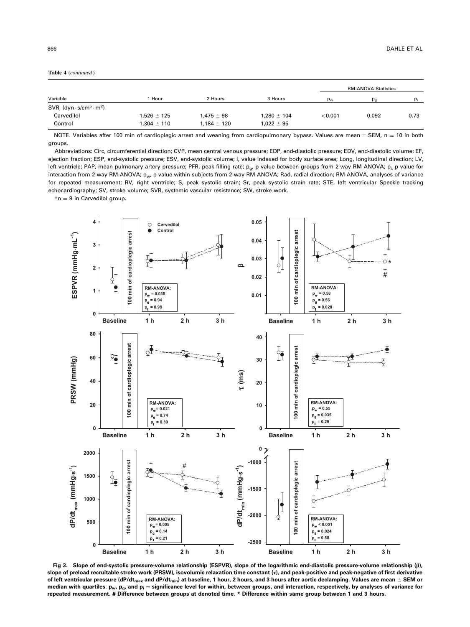<span id="page-7-0"></span>

|                                                                 |                 |                 |                 | <b>RM-ANOVA Statistics</b> |       |      |
|-----------------------------------------------------------------|-----------------|-----------------|-----------------|----------------------------|-------|------|
| Variable                                                        | Hour            | 2 Hours         | 3 Hours         | $p_w$                      |       | p,   |
| $SVR_i$ (dyn $\cdot$ s/cm <sup>5</sup> $\cdot$ m <sup>2</sup> ) |                 |                 |                 |                            |       |      |
| Carvedilol                                                      | $1.526 \pm 125$ | $1.475 \pm 98$  | $1.280 \pm 104$ | < 0.001                    | 0.092 | 0.73 |
| Control                                                         | $1.304 \pm 110$ | $1.184 \pm 120$ | $1,022 \pm 95$  |                            |       |      |

NOTE. Variables after 100 min of cardioplegic arrest and weaning from cardiopulmonary bypass. Values are mean  $\pm$  SEM, n = 10 in both groups.

Abbreviations: Circ, circumferential direction; CVP, mean central venous pressure; EDP, end-diastolic pressure; EDV, end-diastolic volume; EF, ejection fraction; ESP, end-systolic pressure; ESV, end-systolic volume; i, value indexed for body surface area; Long, longitudinal direction; LV, left ventricle; PAP, mean pulmonary artery pressure; PFR, peak filling rate; p<sub>a</sub>, p value between groups from 2-way RM-ANOVA; p<sub>i, p</sub> value for interaction from 2-way RM-ANOVA; pw, p value within subjects from 2-way RM-ANOVA; Rad, radial direction; RM-ANOVA, analyses of variance for repeated measurement; RV, right ventricle; S, peak systolic strain; Sr, peak systolic strain rate; STE, left ventricular Speckle tracking echocardiography; SV, stroke volume; SVR, systemic vascular resistance; SW, stroke work.

 $*$ n = 9 in Carvedilol group.



Fig 3. Slope of end-systolic pressure-volume relationship (ESPVR), slope of the logarithmic end-diastolic pressure-volume relationship (β), slope of preload recruitable stroke work (PRSW), isovolumic relaxation time constant (τ), and peak-positive and peak-negative of first derivative of left ventricular pressure (dP/dt<sub>max</sub> and dP/dt<sub>min</sub>) at baseline, 1 hour, 2 hours, and 3 hours after aortic declamping. Values are mean  $\pm$  SEM or median with quartiles.  $p_w$ ,  $p_g$ , and  $p_i$  = significance level for within, between groups, and interaction, respectively, by analyses of variance for repeated measurement. # Difference between groups at denoted time. \* Difference within same group between 1 and 3 hours.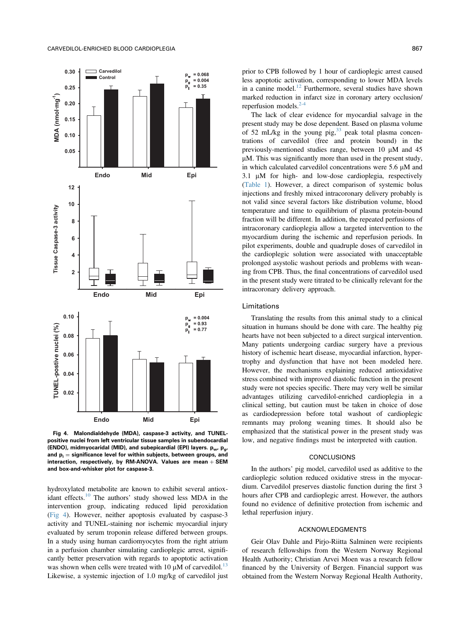<span id="page-8-0"></span>

Fig 4. Malondialdehyde (MDA), caspase-3 activity, and TUNELpositive nuclei from left ventricular tissue samples in subendocardial .<br>(ENDO), midmyocaridal (MID), and subepicardial (EPI) layers. p<sub>w</sub>, p<sub>g</sub>, and  $p_i$  = significance level for within subjects, between groups, and interaction, respectively, by RM-ANOVA. Values are mean  $+$  SEM and box-and-whisker plot for caspase-3.

hydroxylated metabolite are known to exhibit several antiox-idant effects.<sup>[10](#page-9-0)</sup> The authors' study showed less MDA in the intervention group, indicating reduced lipid peroxidation (Fig 4). However, neither apoptosis evaluated by caspase-3 activity and TUNEL-staining nor ischemic myocardial injury evaluated by serum troponin release differed between groups. In a study using human cardiomyocytes from the right atrium in a perfusion chamber simulating cardioplegic arrest, significantly better preservation with regards to apoptotic activation was shown when cells were treated with 10  $\mu$ M of carvedilol.<sup>[13](#page-9-0)</sup> Likewise, a systemic injection of 1.0 mg/kg of carvedilol just

prior to CPB followed by 1 hour of cardioplegic arrest caused less apoptotic activation, corresponding to lower MDA levels in a canine model.<sup>[12](#page-9-0)</sup> Furthermore, several studies have shown marked reduction in infarct size in coronary artery occlusion/ reperfusion models. $<sup>2</sup>$ </sup>

The lack of clear evidence for myocardial salvage in the present study may be dose dependent. Based on plasma volume of 52 mL/kg in the young pig, $33$  peak total plasma concentrations of carvedilol (free and protein bound) in the previously-mentioned studies range, between 10  $\mu$ M and 45  $\mu$ M. This was significantly more than used in the present study, in which calculated carvedilol concentrations were  $5.6 \mu M$  and  $3.1 \mu M$  for high- and low-dose cardioplegia, respectively ([Table 1](#page-1-0)). However, a direct comparison of systemic bolus injections and freshly mixed intracoronary delivery probably is not valid since several factors like distribution volume, blood temperature and time to equilibrium of plasma protein-bound fraction will be different. In addition, the repeated perfusions of intracoronary cardioplegia allow a targeted intervention to the myocardium during the ischemic and reperfusion periods. In pilot experiments, double and quadruple doses of carvedilol in the cardioplegic solution were associated with unacceptable prolonged asystolic washout periods and problems with weaning from CPB. Thus, the final concentrations of carvedilol used in the present study were titrated to be clinically relevant for the intracoronary delivery approach.

## Limitations

Translating the results from this animal study to a clinical situation in humans should be done with care. The healthy pig hearts have not been subjected to a direct surgical intervention. Many patients undergoing cardiac surgery have a previous history of ischemic heart disease, myocardial infarction, hypertrophy and dysfunction that have not been modeled here. However, the mechanisms explaining reduced antioxidative stress combined with improved diastolic function in the present study were not species specific. There may very well be similar advantages utilizing carvedilol-enriched cardioplegia in a clinical setting, but caution must be taken in choice of dose as cardiodepression before total washout of cardioplegic remnants may prolong weaning times. It should also be emphasized that the statistical power in the present study was low, and negative findings must be interpreted with caution.

#### CONCLUSIONS

In the authors' pig model, carvedilol used as additive to the cardioplegic solution reduced oxidative stress in the myocardium. Carvedilol preserves diastolic function during the first 3 hours after CPB and cardioplegic arrest. However, the authors found no evidence of definitive protection from ischemic and lethal reperfusion injury.

## ACKNOWLEDGMENTS

Geir Olav Dahle and Pirjo-Riitta Salminen were recipients of research fellowships from the Western Norway Regional Health Authority; Christian Arvei Moen was a research fellow financed by the University of Bergen. Financial support was obtained from the Western Norway Regional Health Authority,